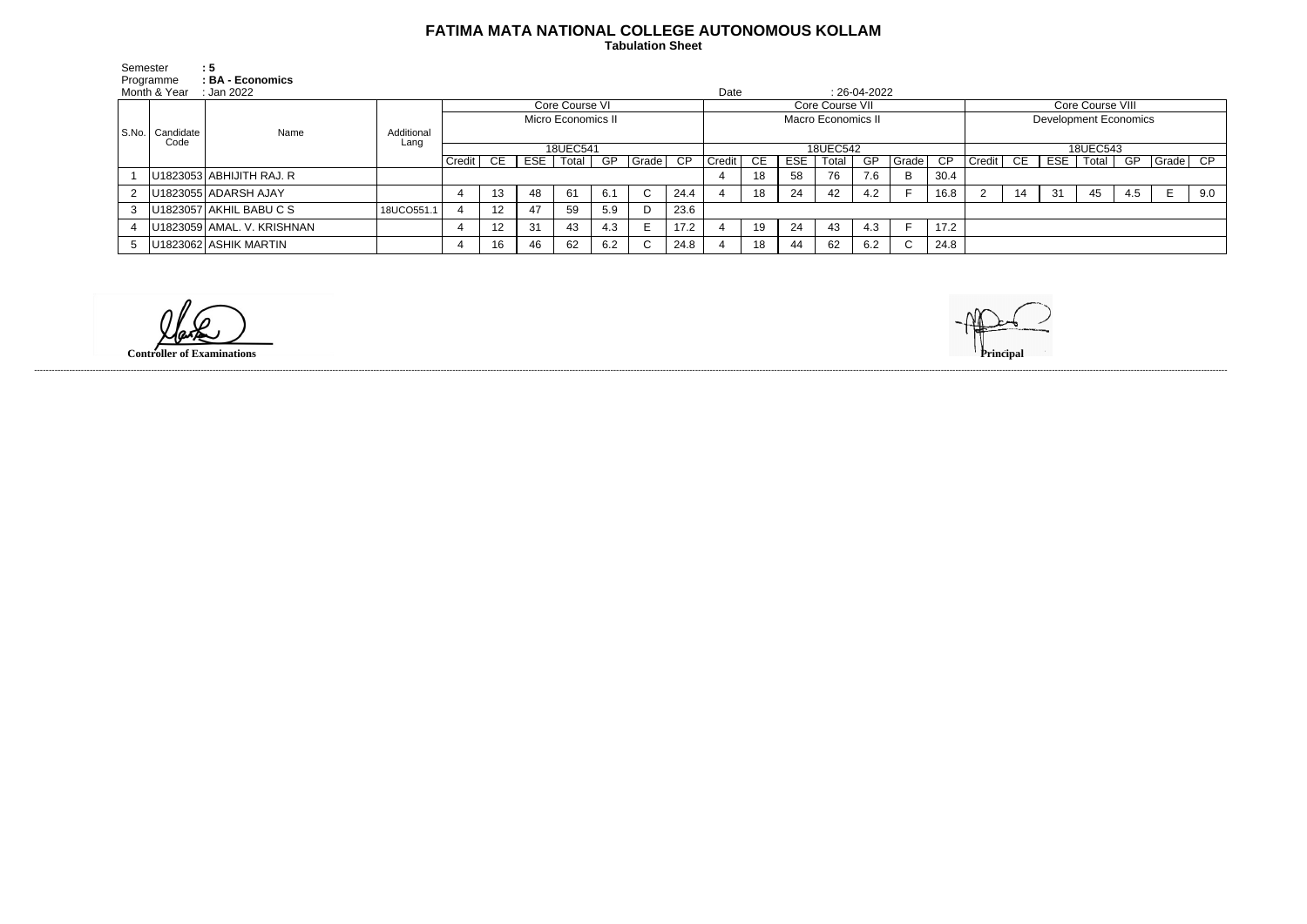## **FATIMA MATA NATIONAL COLLEGE AUTONOMOUS KOLLAM**

 **Tabulation Sheet** 

| Semester | Programme<br>Month & Year | $\therefore$ 5<br>: BA - Economics<br>: Jan 2022 |            |                    |    |    |             |     |                 |          | Date                      |    |            |                 | $: 26-04-2022$ |       |                 |                              |    |     |       |     |          |     |
|----------|---------------------------|--------------------------------------------------|------------|--------------------|----|----|-------------|-----|-----------------|----------|---------------------------|----|------------|-----------------|----------------|-------|-----------------|------------------------------|----|-----|-------|-----|----------|-----|
|          |                           |                                                  |            | Core Course VI     |    |    |             |     |                 |          |                           |    |            | Core Course VII |                |       |                 | Core Course VIII             |    |     |       |     |          |     |
|          | S.No.   Candidate<br>Code |                                                  |            | Micro Economics II |    |    |             |     |                 |          | <b>Macro Economics II</b> |    |            |                 |                |       |                 | <b>Development Economics</b> |    |     |       |     |          |     |
|          |                           | Name                                             | Additional |                    |    |    |             |     |                 |          |                           |    |            |                 |                |       |                 |                              |    |     |       |     |          |     |
|          |                           |                                                  | Lang       | 18UEC541           |    |    |             |     |                 | 18UEC542 |                           |    |            |                 |                |       | 18UEC543        |                              |    |     |       |     |          |     |
|          |                           |                                                  |            | Credit             | CE |    | ESE   Total | GP  | $\sqrt{Gra}$ de | CP       | Credit                    | CE | <b>ESE</b> | Total           | GP             | Grade | $\overline{CP}$ | Credit                       | CE | ESE | Total | GP  | Grade CP |     |
|          |                           | $ U1823053 $ ABHIJITH RAJ. R                     |            |                    |    |    |             |     |                 |          |                           | 18 | 58         | 76              | 7.6            | D.    | 30.4            |                              |    |     |       |     |          |     |
|          |                           | U1823055 ADARSH AJAY                             |            |                    |    | 48 | 61          | 6.1 | $\sim$<br>◡     | 24.4     |                           | 18 | 24         | 42              | 4.2            |       | 16.8            |                              | 14 | -31 | 45    | 4.5 |          | 9.0 |
| 3        |                           | $ U1823057 AKHIL$ BABU C S                       | 18UCO551.1 |                    |    | 47 | 59          | 5.9 | - D             | 23.6     |                           |    |            |                 |                |       |                 |                              |    |     |       |     |          |     |
|          |                           | U1823059 AMAL. V. KRISHNAN                       |            |                    |    | 31 | 43          | 4.3 |                 | 17.2     |                           | 19 | 24         | 43              | 4.3            |       | 17.2            |                              |    |     |       |     |          |     |
| 5        |                           | U1823062 ASHIK MARTIN                            |            |                    | 16 | 46 | 62          | 6.2 | ◡               | 24.8     |                           | 18 | 44         | 62              | 6.2            | ◡     | 24.8            |                              |    |     |       |     |          |     |

**Controller of Examinations Principal**



------------------------------------------------------------------------------------------------------------------------------------------------------------------------------------------------------------------------------------------------------------------------------------------------------------------------------------------------------------------------------------------------------------------------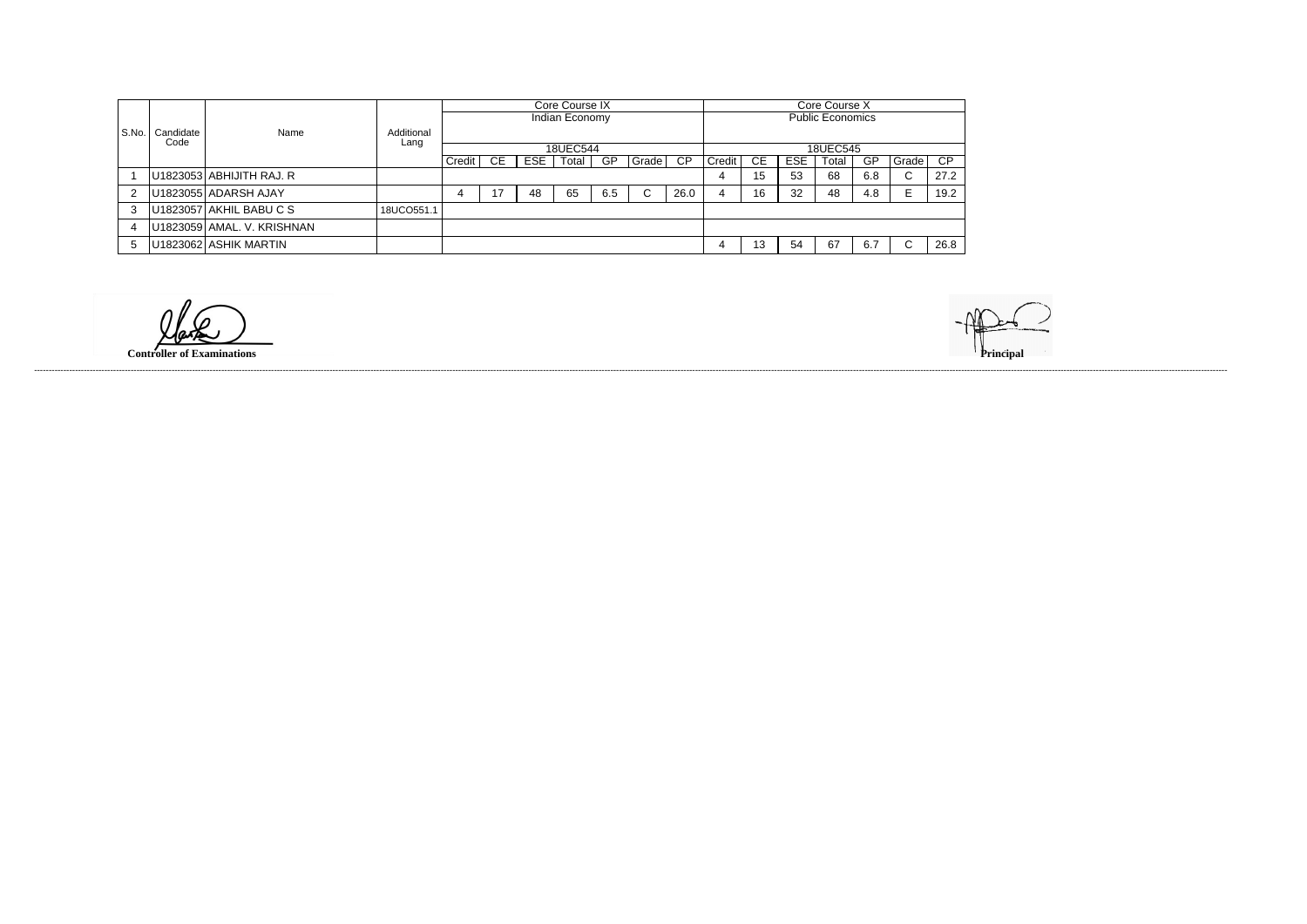|       |                   | Name                       |                    | Core Course IX |     |            |                |     |       |                         |          | Core Course X |            |       |     |             |      |  |  |
|-------|-------------------|----------------------------|--------------------|----------------|-----|------------|----------------|-----|-------|-------------------------|----------|---------------|------------|-------|-----|-------------|------|--|--|
|       |                   |                            |                    |                |     |            | Indian Economy |     |       | <b>Public Economics</b> |          |               |            |       |     |             |      |  |  |
| S.No. | Candidate<br>Code |                            | Additional<br>Lang |                |     |            |                |     |       |                         |          |               |            |       |     |             |      |  |  |
|       |                   |                            |                    |                |     |            | 18UEC544       |     |       |                         | 18UEC545 |               |            |       |     |             |      |  |  |
|       |                   |                            |                    | Credit         | CE. | <b>ESE</b> | Total          | GP  | Grade | CP                      | Credit   | CE            | <b>ESE</b> | Total | GP  | Grade       | CP   |  |  |
|       |                   | U1823053 ABHIJITH RAJ. R   |                    |                |     |            |                |     |       |                         | 4        | 15            | 53         | 68    | 6.8 | $\sim$<br>U | 27.2 |  |  |
|       |                   | U1823055 ADARSH AJAY       |                    |                | 17  | 48         | 65             | 6.5 | C     | 26.0                    | 4        | 16            | 32         | 48    | 4.8 |             | 19.2 |  |  |
| 3     |                   | U1823057 AKHIL BABU C S    | 18UCO551.1         |                |     |            |                |     |       |                         |          |               |            |       |     |             |      |  |  |
|       |                   | U1823059 AMAL. V. KRISHNAN |                    |                |     |            |                |     |       |                         |          |               |            |       |     |             |      |  |  |
|       |                   | U1823062 ASHIK MARTIN      |                    |                |     |            |                |     |       |                         |          | 13            | 54         | 67    | 6.7 |             | 26.8 |  |  |

**Controller of Examinations** 

------------------------------------------------------------------------------------------------------------------------------------------------------------------------------------------------------------------------------------------------------------------------------------------------------------------------------------------------------------------------------------------------------------------------